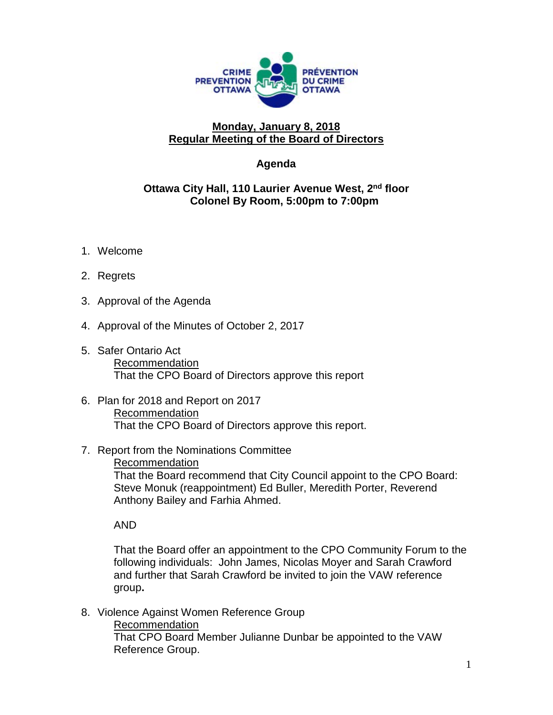

## **Monday, January 8, 2018 Regular Meeting of the Board of Directors**

## **Agenda**

## **Ottawa City Hall, 110 Laurier Avenue West, 2nd floor Colonel By Room, 5:00pm to 7:00pm**

- 1. Welcome
- 2. Regrets
- 3. Approval of the Agenda
- 4. Approval of the Minutes of October 2, 2017
- 5. Safer Ontario Act Recommendation That the CPO Board of Directors approve this report
- 6. Plan for 2018 and Report on 2017 Recommendation That the CPO Board of Directors approve this report.
- 7. Report from the Nominations Committee

Recommendation

That the Board recommend that City Council appoint to the CPO Board: Steve Monuk (reappointment) Ed Buller, Meredith Porter, Reverend Anthony Bailey and Farhia Ahmed.

AND

That the Board offer an appointment to the CPO Community Forum to the following individuals: John James, Nicolas Moyer and Sarah Crawford and further that Sarah Crawford be invited to join the VAW reference group**.**

- 8. Violence Against Women Reference Group
	- Recommendation

That CPO Board Member Julianne Dunbar be appointed to the VAW Reference Group.